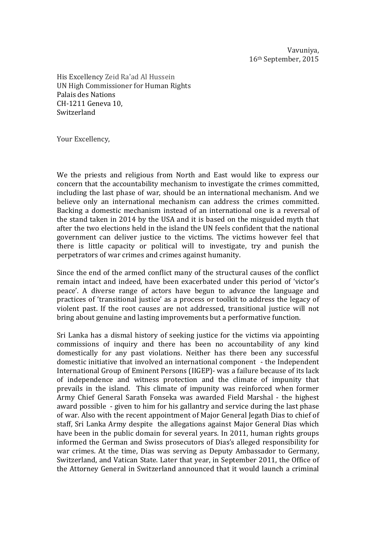Vavuniya, 16<sup>th</sup> September, 2015

His Excellency Zeid Ra'ad Al Hussein UN High Commissioner for Human Rights Palais des Nations CH-1211 Geneva 10, Switzerland

Your Excellency,

We the priests and religious from North and East would like to express our concern that the accountability mechanism to investigate the crimes committed, including the last phase of war, should be an international mechanism. And we believe only an international mechanism can address the crimes committed. Backing a domestic mechanism instead of an international one is a reversal of the stand taken in 2014 by the USA and it is based on the misguided myth that after the two elections held in the island the UN feels confident that the national government can deliver justice to the victims. The victims however feel that there is little capacity or political will to investigate, try and punish the perpetrators of war crimes and crimes against humanity.

Since the end of the armed conflict many of the structural causes of the conflict remain intact and indeed, have been exacerbated under this period of 'victor's peace'. A diverse range of actors have begun to advance the language and practices of 'transitional justice' as a process or toolkit to address the legacy of violent past. If the root causes are not addressed, transitional justice will not bring about genuine and lasting improvements but a performative function.

Sri Lanka has a dismal history of seeking justice for the victims via appointing commissions of inquiry and there has been no accountability of any kind domestically for any past violations. Neither has there been any successful domestic initiative that involved an international component - the Independent International Group of Eminent Persons (IIGEP)- was a failure because of its lack of independence and witness protection and the climate of impunity that prevails in the island. This climate of impunity was reinforced when former Army Chief General Sarath Fonseka was awarded Field Marshal - the highest award possible - given to him for his gallantry and service during the last phase of war. Also with the recent appointment of Major General Jegath Dias to chief of staff, Sri Lanka Army despite the allegations against Major General Dias which have been in the public domain for several vears. In 2011, human rights groups informed the German and Swiss prosecutors of Dias's alleged responsibility for war crimes. At the time, Dias was serving as Deputy Ambassador to Germany, Switzerland, and Vatican State. Later that year, in September 2011, the Office of the Attorney General in Switzerland announced that it would launch a criminal